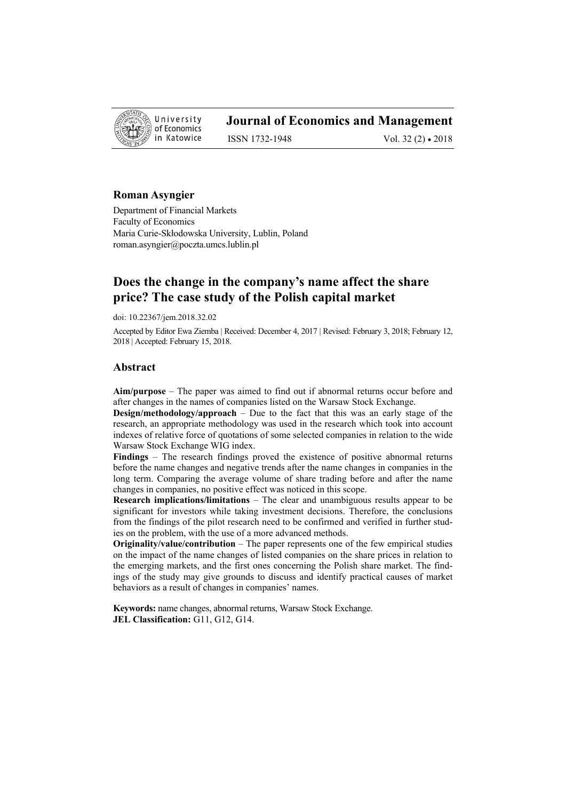

# **Journal of Economics and Management**

ISSN 1732-1948 Vol. 32 (2) • 2018

### **Roman Asyngier**

Department of Financial Markets Faculty of Economics Maria Curie-Skłodowska University, Lublin, Poland roman.asyngier@poczta.umcs.lublin.pl

## **Does the change in the company's name affect the share price? The case study of the Polish capital market**

doi: 10.22367/jem.2018.32.02

Accepted by Editor Ewa Ziemba | Received: December 4, 2017 | Revised: February 3, 2018; February 12, 2018 | Accepted: February 15, 2018.

#### **Abstract**

**Aim/purpose** – The paper was aimed to find out if abnormal returns occur before and after changes in the names of companies listed on the Warsaw Stock Exchange.

**Design/methodology/approach** – Due to the fact that this was an early stage of the research, an appropriate methodology was used in the research which took into account indexes of relative force of quotations of some selected companies in relation to the wide Warsaw Stock Exchange WIG index.

**Findings** – The research findings proved the existence of positive abnormal returns before the name changes and negative trends after the name changes in companies in the long term. Comparing the average volume of share trading before and after the name changes in companies, no positive effect was noticed in this scope.

**Research implications/limitations** – The clear and unambiguous results appear to be significant for investors while taking investment decisions. Therefore, the conclusions from the findings of the pilot research need to be confirmed and verified in further studies on the problem, with the use of a more advanced methods.

**Originality/value/contribution** – The paper represents one of the few empirical studies on the impact of the name changes of listed companies on the share prices in relation to the emerging markets, and the first ones concerning the Polish share market. The findings of the study may give grounds to discuss and identify practical causes of market behaviors as a result of changes in companies' names.

**Keywords:** name changes, abnormal returns, Warsaw Stock Exchange. **JEL Classification:** G11, G12, G14.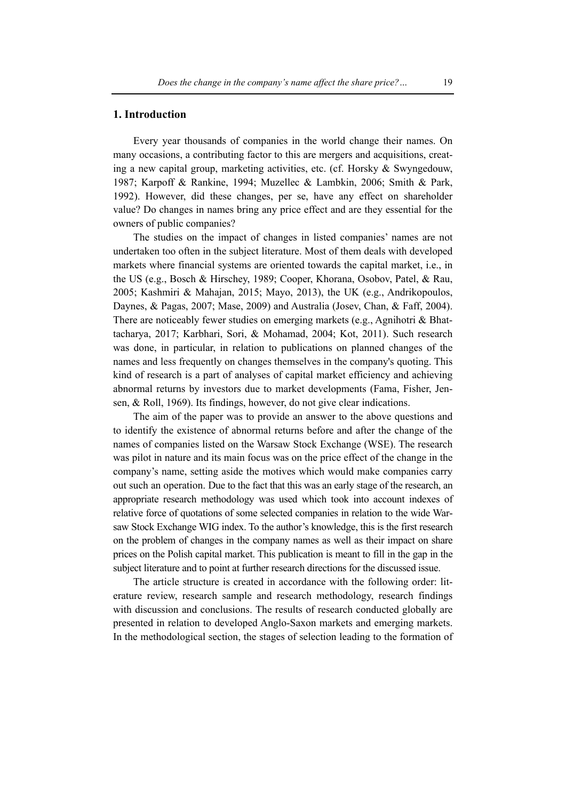#### **1. Introduction**

Every year thousands of companies in the world change their names. On many occasions, a contributing factor to this are mergers and acquisitions, creating a new capital group, marketing activities, etc. (cf. Horsky & Swyngedouw, 1987; Karpoff & Rankine, 1994; Muzellec & Lambkin, 2006; Smith & Park, 1992). However, did these changes, per se, have any effect on shareholder value? Do changes in names bring any price effect and are they essential for the owners of public companies?

The studies on the impact of changes in listed companies' names are not undertaken too often in the subject literature. Most of them deals with developed markets where financial systems are oriented towards the capital market, i.e., in the US (e.g., Bosch & Hirschey, 1989; Cooper, Khorana, Osobov, Patel, & Rau, 2005; Kashmiri & Mahajan, 2015; Mayo, 2013), the UK (e.g., Andrikopoulos, Daynes, & Pagas, 2007; Mase, 2009) and Australia (Josev, Chan, & Faff, 2004). There are noticeably fewer studies on emerging markets (e.g., Agnihotri & Bhattacharya, 2017; Karbhari, Sori, & Mohamad, 2004; Kot, 2011). Such research was done, in particular, in relation to publications on planned changes of the names and less frequently on changes themselves in the company's quoting. This kind of research is a part of analyses of capital market efficiency and achieving abnormal returns by investors due to market developments (Fama, Fisher, Jensen, & Roll, 1969). Its findings, however, do not give clear indications.

The aim of the paper was to provide an answer to the above questions and to identify the existence of abnormal returns before and after the change of the names of companies listed on the Warsaw Stock Exchange (WSE). The research was pilot in nature and its main focus was on the price effect of the change in the company's name, setting aside the motives which would make companies carry out such an operation. Due to the fact that this was an early stage of the research, an appropriate research methodology was used which took into account indexes of relative force of quotations of some selected companies in relation to the wide Warsaw Stock Exchange WIG index. To the author's knowledge, this is the first research on the problem of changes in the company names as well as their impact on share prices on the Polish capital market. This publication is meant to fill in the gap in the subject literature and to point at further research directions for the discussed issue.

The article structure is created in accordance with the following order: literature review, research sample and research methodology, research findings with discussion and conclusions. The results of research conducted globally are presented in relation to developed Anglo-Saxon markets and emerging markets. In the methodological section, the stages of selection leading to the formation of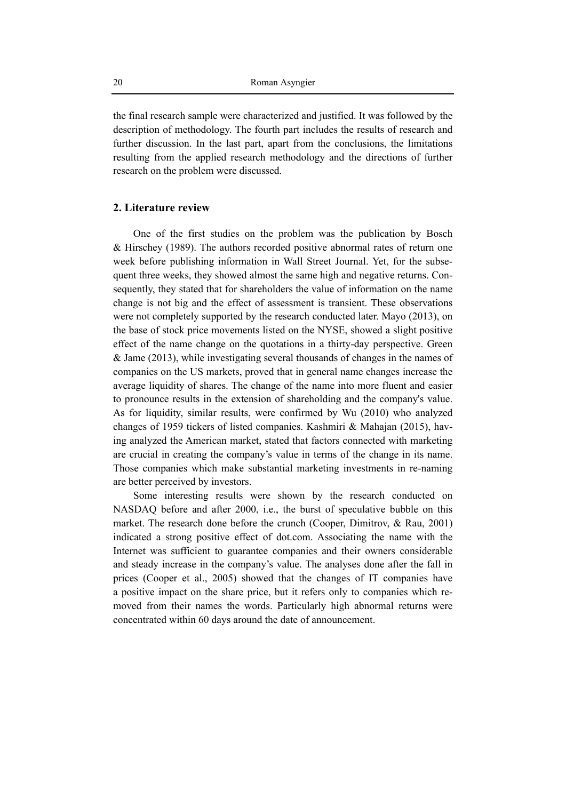the final research sample were characterized and justified. It was followed by the description of methodology. The fourth part includes the results of research and further discussion. In the last part, apart from the conclusions, the limitations resulting from the applied research methodology and the directions of further research on the problem were discussed.

#### **2. Literature review**

One of the first studies on the problem was the publication by Bosch & Hirschey (1989). The authors recorded positive abnormal rates of return one week before publishing information in Wall Street Journal. Yet, for the subsequent three weeks, they showed almost the same high and negative returns. Consequently, they stated that for shareholders the value of information on the name change is not big and the effect of assessment is transient. These observations were not completely supported by the research conducted later. Mayo (2013), on the base of stock price movements listed on the NYSE, showed a slight positive effect of the name change on the quotations in a thirty-day perspective. Green & Jame (2013), while investigating several thousands of changes in the names of companies on the US markets, proved that in general name changes increase the average liquidity of shares. The change of the name into more fluent and easier to pronounce results in the extension of shareholding and the company's value. As for liquidity, similar results, were confirmed by Wu (2010) who analyzed changes of 1959 tickers of listed companies. Kashmiri & Mahajan (2015), having analyzed the American market, stated that factors connected with marketing are crucial in creating the company's value in terms of the change in its name. Those companies which make substantial marketing investments in re-naming are better perceived by investors.

Some interesting results were shown by the research conducted on NASDAQ before and after 2000, i.e., the burst of speculative bubble on this market. The research done before the crunch (Cooper, Dimitrov, & Rau, 2001) indicated a strong positive effect of dot.com. Associating the name with the Internet was sufficient to guarantee companies and their owners considerable and steady increase in the company's value. The analyses done after the fall in prices (Cooper et al., 2005) showed that the changes of IT companies have a positive impact on the share price, but it refers only to companies which removed from their names the words. Particularly high abnormal returns were concentrated within 60 days around the date of announcement.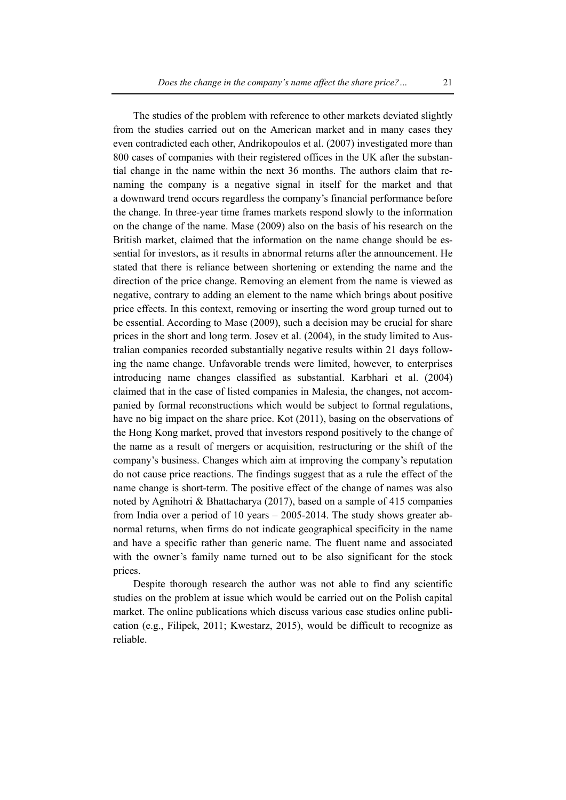The studies of the problem with reference to other markets deviated slightly from the studies carried out on the American market and in many cases they even contradicted each other, Andrikopoulos et al. (2007) investigated more than 800 cases of companies with their registered offices in the UK after the substantial change in the name within the next 36 months. The authors claim that renaming the company is a negative signal in itself for the market and that a downward trend occurs regardless the company's financial performance before the change. In three-year time frames markets respond slowly to the information on the change of the name. Mase (2009) also on the basis of his research on the British market, claimed that the information on the name change should be essential for investors, as it results in abnormal returns after the announcement. He stated that there is reliance between shortening or extending the name and the direction of the price change. Removing an element from the name is viewed as negative, contrary to adding an element to the name which brings about positive price effects. In this context, removing or inserting the word group turned out to be essential. According to Mase (2009), such a decision may be crucial for share prices in the short and long term. Josev et al. (2004), in the study limited to Australian companies recorded substantially negative results within 21 days following the name change. Unfavorable trends were limited, however, to enterprises introducing name changes classified as substantial. Karbhari et al. (2004) claimed that in the case of listed companies in Malesia, the changes, not accompanied by formal reconstructions which would be subject to formal regulations, have no big impact on the share price. Kot (2011), basing on the observations of the Hong Kong market, proved that investors respond positively to the change of the name as a result of mergers or acquisition, restructuring or the shift of the company's business. Changes which aim at improving the company's reputation do not cause price reactions. The findings suggest that as a rule the effect of the name change is short-term. The positive effect of the change of names was also noted by Agnihotri & Bhattacharya (2017), based on a sample of 415 companies from India over a period of 10 years – 2005-2014. The study shows greater abnormal returns, when firms do not indicate geographical specificity in the name and have a specific rather than generic name. The fluent name and associated with the owner's family name turned out to be also significant for the stock prices.

Despite thorough research the author was not able to find any scientific studies on the problem at issue which would be carried out on the Polish capital market. The online publications which discuss various case studies online publication (e.g., Filipek, 2011; Kwestarz, 2015), would be difficult to recognize as reliable.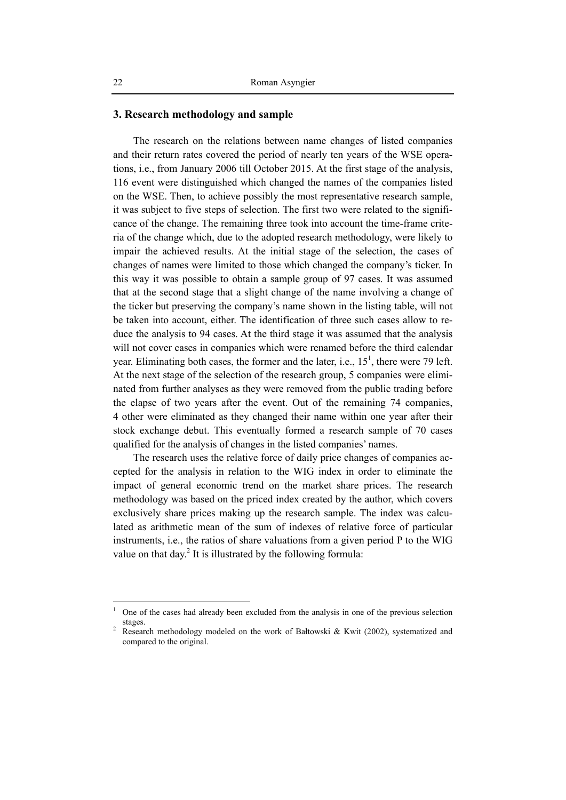#### **3. Research methodology and sample**

The research on the relations between name changes of listed companies and their return rates covered the period of nearly ten years of the WSE operations, i.e., from January 2006 till October 2015. At the first stage of the analysis, 116 event were distinguished which changed the names of the companies listed on the WSE. Then, to achieve possibly the most representative research sample, it was subject to five steps of selection. The first two were related to the significance of the change. The remaining three took into account the time-frame criteria of the change which, due to the adopted research methodology, were likely to impair the achieved results. At the initial stage of the selection, the cases of changes of names were limited to those which changed the company's ticker. In this way it was possible to obtain a sample group of 97 cases. It was assumed that at the second stage that a slight change of the name involving a change of the ticker but preserving the company's name shown in the listing table, will not be taken into account, either. The identification of three such cases allow to reduce the analysis to 94 cases. At the third stage it was assumed that the analysis will not cover cases in companies which were renamed before the third calendar year. Eliminating both cases, the former and the later, i.e.,  $15<sup>1</sup>$ , there were 79 left. At the next stage of the selection of the research group, 5 companies were eliminated from further analyses as they were removed from the public trading before the elapse of two years after the event. Out of the remaining 74 companies, 4 other were eliminated as they changed their name within one year after their stock exchange debut. This eventually formed a research sample of 70 cases qualified for the analysis of changes in the listed companies' names.

The research uses the relative force of daily price changes of companies accepted for the analysis in relation to the WIG index in order to eliminate the impact of general economic trend on the market share prices. The research methodology was based on the priced index created by the author, which covers exclusively share prices making up the research sample. The index was calculated as arithmetic mean of the sum of indexes of relative force of particular instruments, i.e., the ratios of share valuations from a given period P to the WIG value on that day.<sup>2</sup> It is illustrated by the following formula:

 $\overline{\phantom{a}}$ 

<sup>1</sup> One of the cases had already been excluded from the analysis in one of the previous selection stages.

Research methodology modeled on the work of Bałtowski & Kwit (2002), systematized and compared to the original.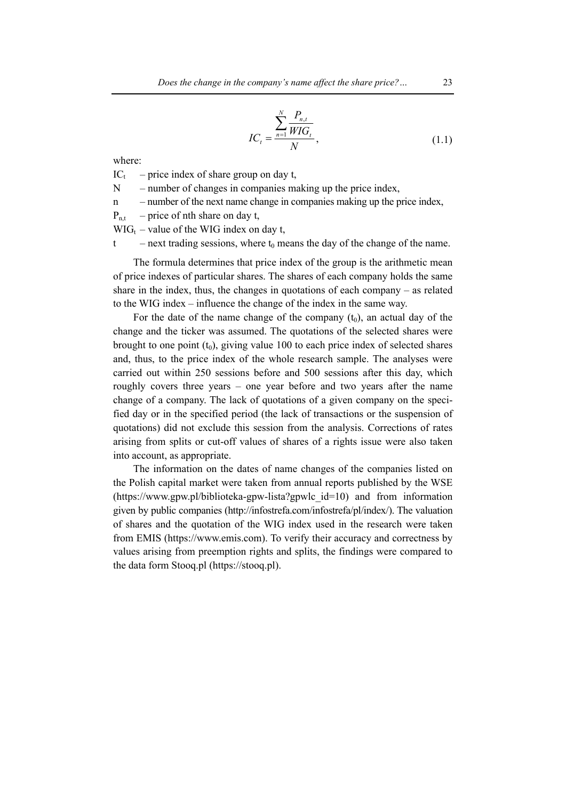$$
IC_{t} = \frac{\sum_{n=1}^{N} \frac{P_{n,t}}{WIG_{t}}}{N},
$$
\n(1.1)

where:

 $IC_t$  – price index of share group on day t,

- $N$  number of changes in companies making up the price index,
- n number of the next name change in companies making up the price index,

 $P_{n,t}$  – price of nth share on day t,

 $WIG_t$  – value of the WIG index on day t,

 $t$  – next trading sessions, where  $t_0$  means the day of the change of the name.

The formula determines that price index of the group is the arithmetic mean of price indexes of particular shares. The shares of each company holds the same share in the index, thus, the changes in quotations of each company – as related to the WIG index – influence the change of the index in the same way.

For the date of the name change of the company  $(t_0)$ , an actual day of the change and the ticker was assumed. The quotations of the selected shares were brought to one point  $(t_0)$ , giving value 100 to each price index of selected shares and, thus, to the price index of the whole research sample. The analyses were carried out within 250 sessions before and 500 sessions after this day, which roughly covers three years – one year before and two years after the name change of a company. The lack of quotations of a given company on the specified day or in the specified period (the lack of transactions or the suspension of quotations) did not exclude this session from the analysis. Corrections of rates arising from splits or cut-off values of shares of a rights issue were also taken into account, as appropriate.

The information on the dates of name changes of the companies listed on the Polish capital market were taken from annual reports published by the WSE (https://www.gpw.pl/biblioteka-gpw-lista?gpwlc\_id=10) and from information given by public companies (http://infostrefa.com/infostrefa/pl/index/). The valuation of shares and the quotation of the WIG index used in the research were taken from EMIS (https://www.emis.com). To verify their accuracy and correctness by values arising from preemption rights and splits, the findings were compared to the data form Stooq.pl (https://stooq.pl).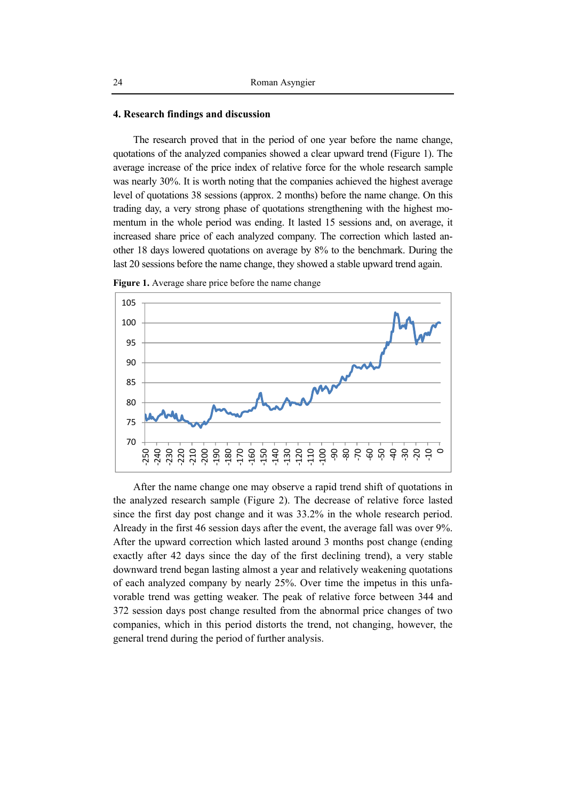#### **4. Research findings and discussion**

The research proved that in the period of one year before the name change, quotations of the analyzed companies showed a clear upward trend (Figure 1). The average increase of the price index of relative force for the whole research sample was nearly 30%. It is worth noting that the companies achieved the highest average level of quotations 38 sessions (approx. 2 months) before the name change. On this trading day, a very strong phase of quotations strengthening with the highest momentum in the whole period was ending. It lasted 15 sessions and, on average, it increased share price of each analyzed company. The correction which lasted another 18 days lowered quotations on average by 8% to the benchmark. During the last 20 sessions before the name change, they showed a stable upward trend again.



**Figure 1.** Average share price before the name change

After the name change one may observe a rapid trend shift of quotations in the analyzed research sample (Figure 2). The decrease of relative force lasted since the first day post change and it was 33.2% in the whole research period. Already in the first 46 session days after the event, the average fall was over 9%. After the upward correction which lasted around 3 months post change (ending exactly after 42 days since the day of the first declining trend), a very stable downward trend began lasting almost a year and relatively weakening quotations of each analyzed company by nearly 25%. Over time the impetus in this unfavorable trend was getting weaker. The peak of relative force between 344 and 372 session days post change resulted from the abnormal price changes of two companies, which in this period distorts the trend, not changing, however, the general trend during the period of further analysis.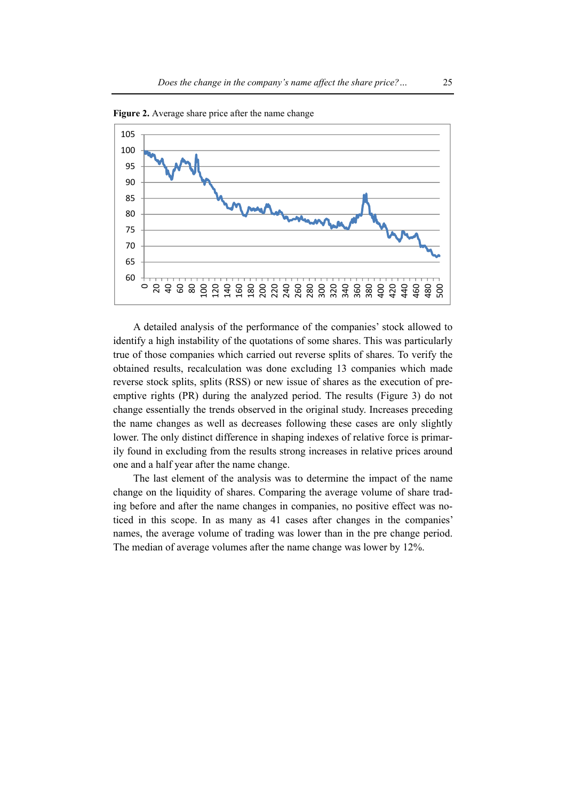

**Figure 2.** Average share price after the name change

A detailed analysis of the performance of the companies' stock allowed to identify a high instability of the quotations of some shares. This was particularly true of those companies which carried out reverse splits of shares. To verify the obtained results, recalculation was done excluding 13 companies which made reverse stock splits, splits (RSS) or new issue of shares as the execution of preemptive rights (PR) during the analyzed period. The results (Figure 3) do not change essentially the trends observed in the original study. Increases preceding the name changes as well as decreases following these cases are only slightly lower. The only distinct difference in shaping indexes of relative force is primarily found in excluding from the results strong increases in relative prices around one and a half year after the name change.

The last element of the analysis was to determine the impact of the name change on the liquidity of shares. Comparing the average volume of share trading before and after the name changes in companies, no positive effect was noticed in this scope. In as many as 41 cases after changes in the companies' names, the average volume of trading was lower than in the pre change period. The median of average volumes after the name change was lower by 12%.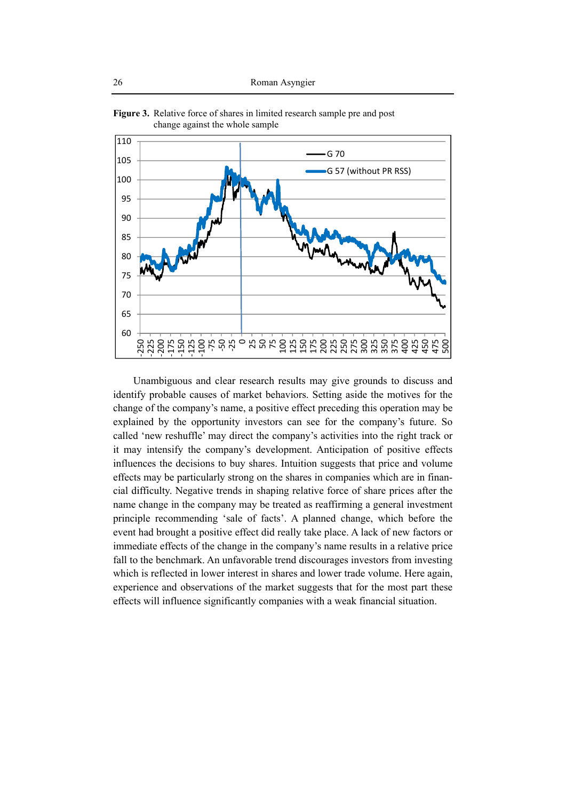

**Figure 3.** Relative force of shares in limited research sample pre and post change against the whole sample

Unambiguous and clear research results may give grounds to discuss and identify probable causes of market behaviors. Setting aside the motives for the change of the company's name, a positive effect preceding this operation may be explained by the opportunity investors can see for the company's future. So called 'new reshuffle' may direct the company's activities into the right track or it may intensify the company's development. Anticipation of positive effects influences the decisions to buy shares. Intuition suggests that price and volume effects may be particularly strong on the shares in companies which are in financial difficulty. Negative trends in shaping relative force of share prices after the name change in the company may be treated as reaffirming a general investment principle recommending 'sale of facts'. A planned change, which before the event had brought a positive effect did really take place. A lack of new factors or immediate effects of the change in the company's name results in a relative price fall to the benchmark. An unfavorable trend discourages investors from investing which is reflected in lower interest in shares and lower trade volume. Here again, experience and observations of the market suggests that for the most part these effects will influence significantly companies with a weak financial situation.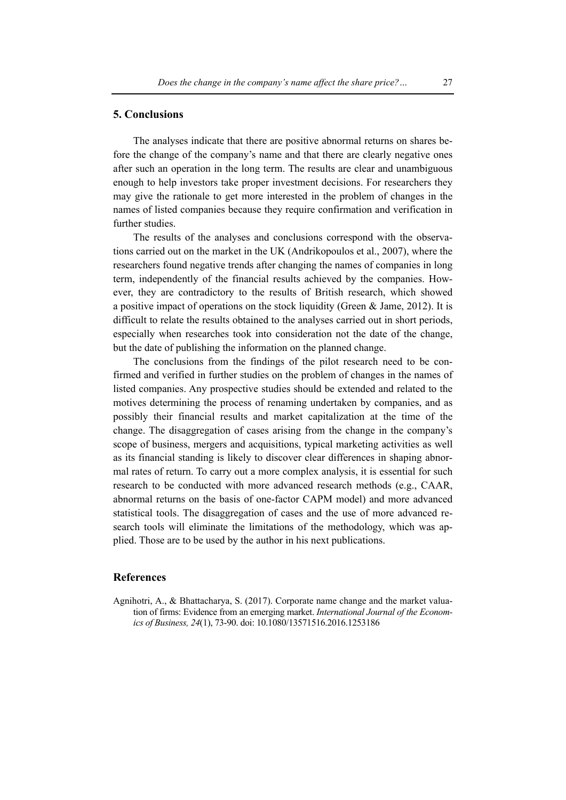#### **5. Conclusions**

The analyses indicate that there are positive abnormal returns on shares before the change of the company's name and that there are clearly negative ones after such an operation in the long term. The results are clear and unambiguous enough to help investors take proper investment decisions. For researchers they may give the rationale to get more interested in the problem of changes in the names of listed companies because they require confirmation and verification in further studies.

The results of the analyses and conclusions correspond with the observations carried out on the market in the UK (Andrikopoulos et al., 2007), where the researchers found negative trends after changing the names of companies in long term, independently of the financial results achieved by the companies. However, they are contradictory to the results of British research, which showed a positive impact of operations on the stock liquidity (Green & Jame, 2012). It is difficult to relate the results obtained to the analyses carried out in short periods, especially when researches took into consideration not the date of the change, but the date of publishing the information on the planned change.

The conclusions from the findings of the pilot research need to be confirmed and verified in further studies on the problem of changes in the names of listed companies. Any prospective studies should be extended and related to the motives determining the process of renaming undertaken by companies, and as possibly their financial results and market capitalization at the time of the change. The disaggregation of cases arising from the change in the company's scope of business, mergers and acquisitions, typical marketing activities as well as its financial standing is likely to discover clear differences in shaping abnormal rates of return. To carry out a more complex analysis, it is essential for such research to be conducted with more advanced research methods (e.g., CAAR, abnormal returns on the basis of one-factor CAPM model) and more advanced statistical tools. The disaggregation of cases and the use of more advanced research tools will eliminate the limitations of the methodology, which was applied. Those are to be used by the author in his next publications.

### **References**

Agnihotri, A., & Bhattacharya, S. (2017). Corporate name change and the market valuation of firms: Evidence from an emerging market. *International Journal of the Economics of Business, 24*(1), 73-90. doi: 10.1080/13571516.2016.1253186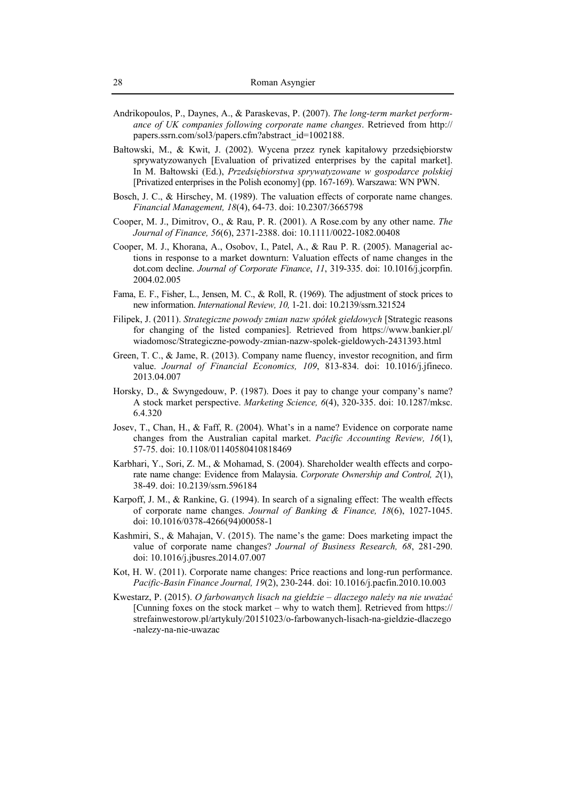- Andrikopoulos, P., Daynes, A., & Paraskevas, P. (2007). *The long-term market performance of UK companies following corporate name changes*. Retrieved from http:// papers.ssrn.com/sol3/papers.cfm?abstract\_id=1002188.
- Bałtowski, M., & Kwit, J. (2002). Wycena przez rynek kapitałowy przedsiębiorstw sprywatyzowanych [Evaluation of privatized enterprises by the capital market]. In M. Bałtowski (Ed.), *Przedsiębiorstwa sprywatyzowane w gospodarce polskiej*  [Privatized enterprises in the Polish economy] (pp. 167-169). Warszawa: WN PWN.
- Bosch, J. C., & Hirschey, M. (1989). The valuation effects of corporate name changes. *Financial Management, 18*(4), 64-73. doi: 10.2307/3665798
- Cooper, M. J., Dimitrov, O., & Rau, P. R. (2001). A Rose.com by any other name. *The Journal of Finance, 56*(6), 2371-2388. doi: 10.1111/0022-1082.00408
- Cooper, M. J., Khorana, A., Osobov, I., Patel, A., & Rau P. R. (2005). Managerial actions in response to a market downturn: Valuation effects of name changes in the dot.com decline. *Journal of Corporate Finance*, *11*, 319-335. doi: 10.1016/j.jcorpfin. 2004.02.005
- Fama, E. F., Fisher, L., Jensen, M. C., & Roll, R. (1969). The adjustment of stock prices to new information. *International Review, 10,* 1-21. doi: 10.2139/ssrn.321524
- Filipek, J. (2011). *Strategiczne powody zmian nazw spółek giełdowych* [Strategic reasons for changing of the listed companies]. Retrieved from https://www.bankier.pl/ wiadomosc/Strategiczne-powody-zmian-nazw-spolek-gieldowych-2431393.html
- Green, T. C., & Jame, R. (2013). Company name fluency, investor recognition, and firm value. *Journal of Financial Economics, 109*, 813-834. doi: 10.1016/j.jfineco. 2013.04.007
- Horsky, D., & Swyngedouw, P. (1987). Does it pay to change your company's name? A stock market perspective. *Marketing Science, 6*(4), 320-335. doi: 10.1287/mksc. 6.4.320
- Josev, T., Chan, H., & Faff, R. (2004). What's in a name? Evidence on corporate name changes from the Australian capital market. *Pacific Accounting Review, 16*(1), 57-75. doi: 10.1108/01140580410818469
- Karbhari, Y., Sori, Z. M., & Mohamad, S. (2004). Shareholder wealth effects and corporate name change: Evidence from Malaysia. *Corporate Ownership and Control, 2*(1), 38-49. doi: 10.2139/ssrn.596184
- Karpoff, J. M., & Rankine, G. (1994). In search of a signaling effect: The wealth effects of corporate name changes. *Journal of Banking & Finance, 18*(6), 1027-1045. doi: 10.1016/0378-4266(94)00058-1
- Kashmiri, S., & Mahajan, V. (2015). The name's the game: Does marketing impact the value of corporate name changes? *Journal of Business Research, 68*, 281-290. doi: 10.1016/j.jbusres.2014.07.007
- Kot, H. W. (2011). Corporate name changes: Price reactions and long-run performance. *Pacific-Basin Finance Journal, 19*(2), 230-244. doi: 10.1016/j.pacfin.2010.10.003
- Kwestarz, P. (2015). *O farbowanych lisach na giełdzie dlaczego należy na nie uważać* [Cunning foxes on the stock market – why to watch them]. Retrieved from https:// strefainwestorow.pl/artykuly/20151023/o-farbowanych-lisach-na-gieldzie-dlaczego -nalezy-na-nie-uwazac